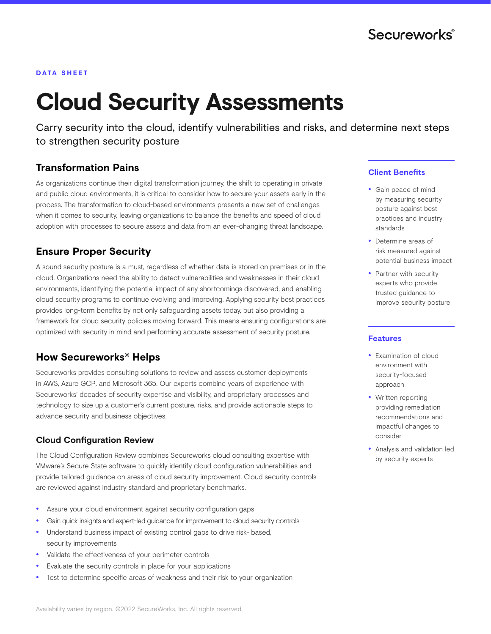#### **DATA SHEET**

# **Cloud Security Assessments**

Carry security into the cloud, identify vulnerabilities and risks, and determine next steps to strengthen security posture

## **Transformation Pains**

As organizations continue their digital transformation journey, the shift to operating in private and public cloud environments, it is critical to consider how to secure your assets early in the process. The transformation to cloud-based environments presents a new set of challenges when it comes to security, leaving organizations to balance the benefits and speed of cloud adoption with processes to secure assets and data from an ever-changing threat landscape.

# **Ensure Proper Security**

A sound security posture is a must, regardless of whether data is stored on premises or in the cloud. Organizations need the ability to detect vulnerabilities and weaknesses in their cloud environments, identifying the potential impact of any shortcomings discovered, and enabling cloud security programs to continue evolving and improving. Applying security best practices provides long-term benefits by not only safeguarding assets today, but also providing a framework for cloud security policies moving forward. This means ensuring configurations are optimized with security in mind and performing accurate assessment of security posture.

# **How Secureworks® Helps**

Secureworks provides consulting solutions to review and assess customer deployments in AWS, Azure GCP, and Microsoft 365. Our experts combine years of experience with Secureworks' decades of security expertise and visibility, and proprietary processes and technology to size up a customer's current posture, risks, and provide actionable steps to advance security and business objectives.

#### **Cloud Configuration Review**

The Cloud Configuration Review combines Secureworks cloud consulting expertise with VMware's Secure State software to quickly identify cloud configuration vulnerabilities and provide tailored guidance on areas of cloud security improvement. Cloud security controls are reviewed against industry standard and proprietary benchmarks.

- Assure your cloud environment against security configuration gaps
- Gain quick insights and expert-led guidance for improvement to cloud security controls
- Understand business impact of existing control gaps to drive risk- based, security improvements
- Validate the effectiveness of your perimeter controls
- Evaluate the security controls in place for your applications
- Test to determine specific areas of weakness and their risk to your organization

#### **Client Benefits**

- Gain peace of mind by measuring security posture against best practices and industry standards
- Determine areas of risk measured against potential business impact
- Partner with security experts who provide trusted guidance to improve security posture

#### **Features**

- Examination of cloud environment with security-focused approach
- Written reporting providing remediation recommendations and impactful changes to consider
- Analysis and validation led by security experts